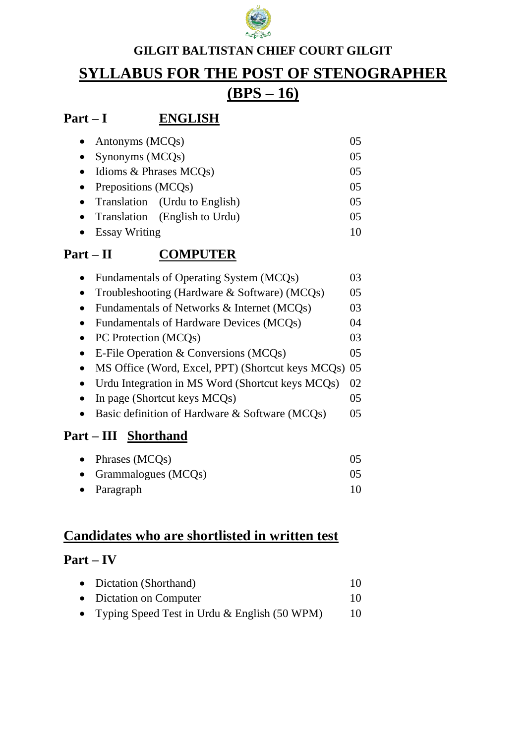

#### **GILGIT BALTISTAN CHIEF COURT GILGIT**

# **SYLLABUS FOR THE POST OF STENOGRAPHER (BPS – 16)**

### **Part – I ENGLISH**

| • Antonyms $(MCQs)$             | 05             |
|---------------------------------|----------------|
| • Synonyms $(MCQs)$             | 0 <sub>5</sub> |
| • Idioms & Phrases $MCQs$ )     | 05             |
| • Prepositions $(MCQs)$         | 05             |
| • Translation (Urdu to English) | 05             |
| • Translation (English to Urdu) | 05             |
| <b>Essay Writing</b>            | 10             |

## **Part – II COMPUTER**

| Fundamentals of Operating System (MCQs)           | 03 |
|---------------------------------------------------|----|
| Troubleshooting (Hardware & Software) (MCQs)      | 05 |
| Fundamentals of Networks & Internet (MCQs)        | 03 |
| Fundamentals of Hardware Devices (MCQs)           | 04 |
| PC Protection (MCQs)                              | 03 |
| E-File Operation & Conversions (MCQs)             | 05 |
| MS Office (Word, Excel, PPT) (Shortcut keys MCQs) | 05 |
| Urdu Integration in MS Word (Shortcut keys MCQs)  | 02 |
| In page (Shortcut keys MCQs)                      | 05 |
| Basic definition of Hardware & Software (MCQs)    | 05 |
| <b>Part – III</b> Shorthand                       |    |
| Phrases (MCQs)                                    |    |

| • Grammalogues $(MCQs)$ |  |
|-------------------------|--|
|                         |  |

• Paragraph 10

### **Candidates who are shortlisted in written test**

#### **Part – IV**

| • Dictation (Shorthand)                          | 10 |
|--------------------------------------------------|----|
| • Dictation on Computer                          | 10 |
| • Typing Speed Test in Urdu $&$ English (50 WPM) | 10 |